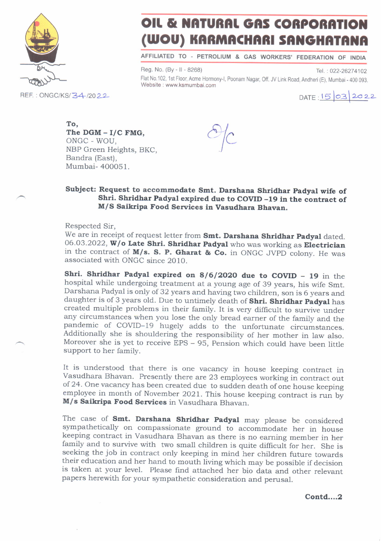

## OIL & NATURAL GAS CORPORATION (WOU) KARMACHARI SANGHATANA

AFFILIATED TO PETROLIUM & GAS WORKERS' FEDERATION OF INDIA

Reg. No. (By - II - 8268) Tel.: 022-26274102 Flat No.102, 1st Floor, Acme Hormony-l, Poonam Nagar, Off. JV Link Road, Andheri (E), Mumbai - 400 093. Website : www.ksmumbai.com

 $DATA: 15032022$ 

To, The  $DGM - I/C$  FMG. ONGC - WOU, NBP Green Heights, BKC, Bandra (East), Mumbai- 400051.

 $\partial/c$ /-

## Subject: Request to accommodate Smt. Darshana Shridhar Padyal wife of Shri. Shridhar Padyal expired due to COVID -19 in the contract of M/S Saikripa Food Services in Vasudhara Bhavan.

Respected Sir,

We are in receipt of request letter from **Smt. Darshana Shridhar Padyal** dated. 06.03.2022, **W/o Late Shri. Shridhar Padyal** who was working as **Electrician** in the contract of M/s. S. P. Gharat & Co. in ONGC JVPD colony. He was associated with ONGC since 2010.

Shri. Shridhar Padyal expired on  $8/6/2020$  due to COVID - 19 in the hospital while undergoing treatment at a young age of 39 years, his wife Smt. Darshana Padyal is only of 32 years and having two children, son is 6 years and daughter is of 3 years old. Due to untimely death of Shri. Shridhar Padyal has created multiple problems in their family. It is very difficult to survive under<br>any circumstances when you lose the only bread earner of the family and the pandemic of COVID-19 hugely adds to the unfortunate circumstances. Additionally she is shouldering the responsibility of her mother in law also. Moreover she is yet to receive EPS - 95, pension which could have been little support to her family.

It is understood that there is one vacancy in house keeping contract in vasudhara Bhavan. Presently there are 23 employees working in contract out of 24. one vacancy has been created due to sudden death of orie house keeping employee in month of November 2021. This house keeping contract is run by  $M/s$  Saikripa Food Services in Vasudhara Bhavan.

The case of Smt. Darshana Shridhar Padyal may please be considered sympathetically on compassionate ground to accommodate her in house<br>keeping contract in Vasudhara Bhavan as there is no earning member in her family and to survive with two small children is quite difficult for her. She is seeking the job in contract only keeping in mind her children future towards their education and her hand to mouth living which may be possible if decision is taken at your level. Please find attached her bio data and other relevant papers herewith for your sympathetic consideration and perusal.